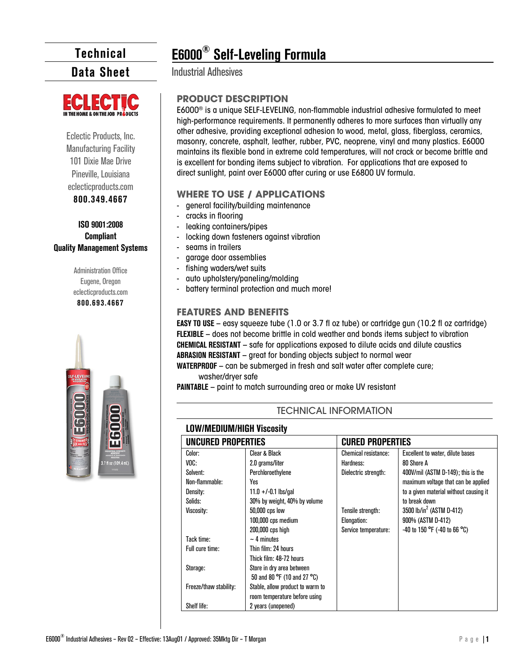**Data Sheet**



Eclectic Products, Inc. Manufacturing Facility 101 Dixie Mae Drive Pineville, Louisiana eclecticproducts.com

#### **800.349.4667**

#### **ISO 9001:2008 Compliant Quality Management Systems**

Administration Office Eugene, Oregon eclecticproducts.com **800.693.4667**



# **E6000® Self-Leveling Formula**

Industrial Adhesives

#### **PRODUCT DESCRIPTION**

E6000® is a unique SELF-LEVELING, non-flammable industrial adhesive formulated to meet high-performance requirements. It permanently adheres to more surfaces than virtually any other adhesive, providing exceptional adhesion to wood, metal, glass, fiberglass, ceramics, masonry, concrete, asphalt, leather, rubber, PVC, neoprene, vinyl and many plastics. E6000 maintains its flexible bond in extreme cold temperatures, will not crack or become brittle and is excellent for bonding items subject to vibration. For applications that are exposed to direct sunlight, paint over E6000 after curing or use E6800 UV formula.

#### **WHERE TO USE / APPLICATIONS**

- general facility/building maintenance
- cracks in flooring
- leaking containers/pipes
- locking down fasteners against vibration
- seams in trailers
- garage door assemblies
- fishing waders/wet suits
- auto upholstery/paneling/molding
- battery terminal protection and much more!

#### **FEATURES AND BENEFITS**

**EASY TO USE** – easy squeeze tube (1.0 or 3.7 fl oz tube) or cartridge gun (10.2 fl oz cartridge) **FLEXIBLE** – does not become brittle in cold weather and bonds items subject to vibration **CHEMICAL RESISTANT** – safe for applications exposed to dilute acids and dilute caustics **ABRASION RESISTANT** – great for bonding objects subject to normal wear

**WATERPROOF** – can be submerged in fresh and salt water after complete cure; washer/dryer safe

**PAINTABLE** – paint to match surrounding area or make UV resistant

#### TECHNICAL INFORMATION

#### **LOW/MEDIUM/HIGH Viscosity**

| UNCURED PROPERTIES     |                                  | <b>CURED PROPERTIES</b> |                                        |  |
|------------------------|----------------------------------|-------------------------|----------------------------------------|--|
| Color:                 | Clear & Black                    | Chemical resistance:    | Excellent to water, dilute bases       |  |
| VOC:                   | 2.0 grams/liter                  | Hardness:               | 80 Shore A                             |  |
| Solvent:               | Perchloroethylene                | Dielectric strength:    | 400V/mil (ASTM D-149); this is the     |  |
| Non-flammable:         | Yes                              |                         | maximum voltage that can be applied    |  |
| Density:               | 11.0 +/-0.1 lbs/qal              |                         | to a given material without causing it |  |
| Solids:                | 30% by weight, 40% by volume     |                         | to break down                          |  |
| Viscosity:             | 50,000 cps low                   | Tensile strength:       | 3500 lb/in <sup>2</sup> (ASTM D-412)   |  |
|                        | 100,000 cps medium               | Elongation:             | 900% (ASTM D-412)                      |  |
|                        | 200,000 cps high                 | Service temperature:    | -40 to 150 °F (-40 to 66 °C)           |  |
| Tack time:             | $\sim$ 4 minutes                 |                         |                                        |  |
| Full cure time:        | Thin film: 24 hours              |                         |                                        |  |
|                        | Thick film: 48-72 hours          |                         |                                        |  |
| Storage:               | Store in dry area between        |                         |                                        |  |
|                        | 50 and 80 °F (10 and 27 °C)      |                         |                                        |  |
| Freeze/thaw stability: | Stable, allow product to warm to |                         |                                        |  |
|                        | room temperature before using    |                         |                                        |  |
| Shelf life:            | 2 years (unopened)               |                         |                                        |  |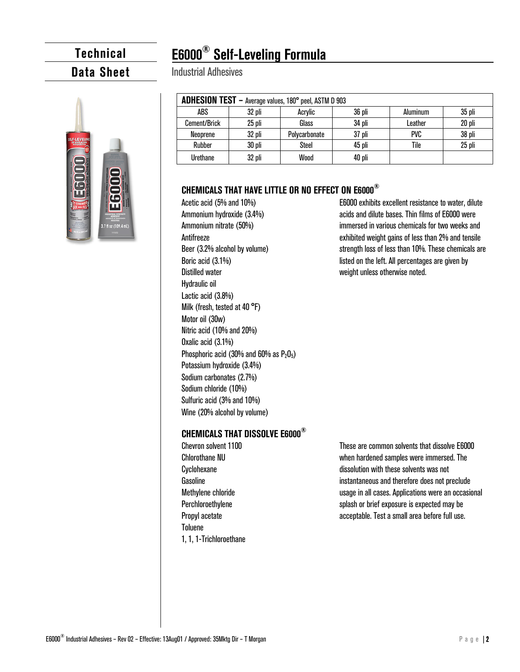## **E6000® Self-Leveling Formula**

### **Data Sheet**



#### Industrial Adhesives

| ADHESION TEST - Average values, 180° peel, ASTM D 903 |        |               |        |            |        |  |  |  |
|-------------------------------------------------------|--------|---------------|--------|------------|--------|--|--|--|
| ABS                                                   | 32 pli | Acrylic       | 36 pli | Aluminum   | 35 pli |  |  |  |
| Cement/Brick                                          | 25 pli | Glass         | 34 pli | Leather    | 20 pli |  |  |  |
| Neoprene                                              | 32 pli | Polycarbonate | 37 pli | <b>PVC</b> | 38 pli |  |  |  |
| Rubber                                                | 30 pli | Steel         | 45 pli | Tile       | 25 pli |  |  |  |
| Urethane                                              | 32 pli | Wood          | 40 pli |            |        |  |  |  |

#### **CHEMICALS THAT HAVE LITTLE OR NO EFFECT ON E6000®**

Acetic acid (5% and 10%) Ammonium hydroxide (3.4%) Ammonium nitrate (50%) **Antifreeze** Beer (3.2% alcohol by volume) Boric acid (3.1%) Distilled water Hydraulic oil Lactic acid (3.8%) Milk (fresh, tested at 40 °F) Motor oil (30w) Nitric acid (10% and 20%) Oxalic acid (3.1%) Phosphoric acid (30% and 60% as  $P_2O_5$ ) Potassium hydroxide (3.4%) Sodium carbonates (2.7%) Sodium chloride (10%) Sulfuric acid (3% and 10%) Wine (20% alcohol by volume)

#### **CHEMICALS THAT DISSOLVE E6000®**

Chevron solvent 1100 Chlorothane NU Cyclohexane Gasoline Methylene chloride Perchloroethylene Propyl acetate Toluene 1, 1, 1-Trichloroethane These are common solvents that dissolve E6000 when hardened samples were immersed. The dissolution with these solvents was not instantaneous and therefore does not preclude usage in all cases. Applications were an occasional splash or brief exposure is expected may be acceptable. Test a small area before full use.

E6000 exhibits excellent resistance to water, dilute acids and dilute bases. Thin films of E6000 were immersed in various chemicals for two weeks and exhibited weight gains of less than 2% and tensile strength loss of less than 10%. These chemicals are listed on the left. All percentages are given by weight unless otherwise noted.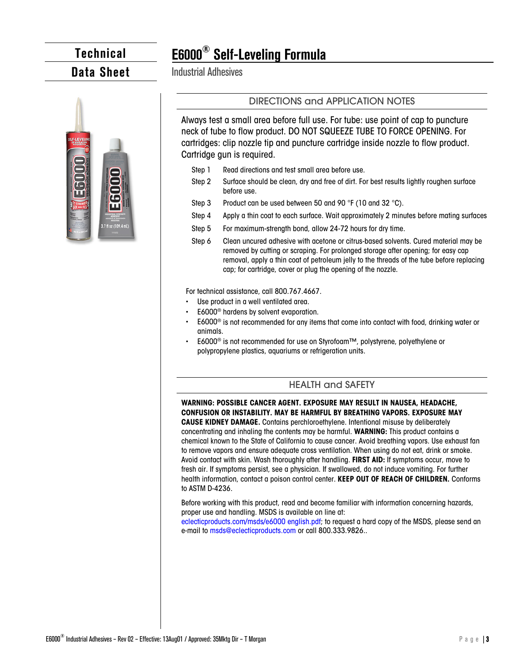### **Data Sheet**



# **E6000® Self-Leveling Formula**

Industrial Adhesives

#### DIRECTIONS and APPLICATION NOTES

Always test a small area before full use. For tube: use point of cap to puncture neck of tube to flow product. DO NOT SQUEEZE TUBE TO FORCE OPENING. For cartridges: clip nozzle tip and puncture cartridge inside nozzle to flow product. Cartridge gun is required.

- Step 1 Read directions and test small area before use.
- Step 2 Surface should be clean, dry and free of dirt. For best results lightly roughen surface before use.
- Step 3 Product can be used between 50 and 90 °F (10 and 32 °C).
- Step 4 Apply a thin coat to each surface. Wait approximately 2 minutes before mating surfaces
- Step 5 For maximum-strength bond, allow 24-72 hours for dry time.
- Step 6 Clean uncured adhesive with acetone or citrus-based solvents. Cured material may be removed by cutting or scraping. For prolonged storage after opening; for easy cap removal, apply a thin coat of petroleum jelly to the threads of the tube before replacing cap; for cartridge, cover or plug the opening of the nozzle.

For technical assistance, call 800.767.4667.

- Use product in a well ventilated area.
- E6000<sup>®</sup> hardens by solvent evaporation.
- E6000<sup>®</sup> is not recommended for any items that come into contact with food, drinking water or animals.
- E6000<sup>®</sup> is not recommended for use on Styrofoam™, polystyrene, polyethylene or polypropylene plastics, aquariums or refrigeration units.

#### HEALTH and SAFETY

**WARNING: POSSIBLE CANCER AGENT. EXPOSURE MAY RESULT IN NAUSEA, HEADACHE, CONFUSION OR INSTABILITY. MAY BE HARMFUL BY BREATHING VAPORS. EXPOSURE MAY** 

**CAUSE KIDNEY DAMAGE.** Contains perchloroethylene. Intentional misuse by deliberately concentrating and inhaling the contents may be harmful. **WARNING:** This product contains a chemical known to the State of California to cause cancer. Avoid breathing vapors. Use exhaust fan to remove vapors and ensure adequate cross ventilation. When using do not eat, drink or smoke. Avoid contact with skin. Wash thoroughly after handling. **FIRST AID:** If symptoms occur, move to fresh air. If symptoms persist, see a physician. If swallowed, do not induce vomiting. For further health information, contact a poison control center. **KEEP OUT OF REACH OF CHILDREN.** Conforms to ASTM D-4236.

Before working with this product, read and become familiar with information concerning hazards, proper use and handling. MSDS is available on line at:

eclecticproducts.com/msds/e6000 english.pdf; to request a hard copy of the MSDS, please send an e-mail to msds@eclecticproducts.com or call 800.333.9826..